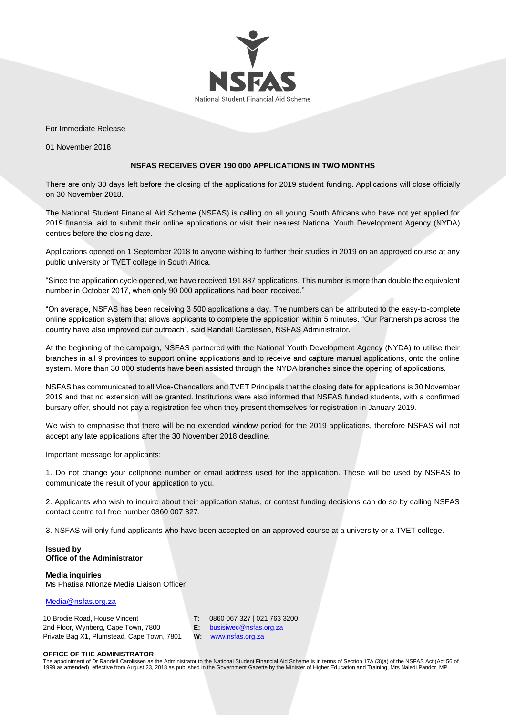

For Immediate Release

01 November 2018

## **NSFAS RECEIVES OVER 190 000 APPLICATIONS IN TWO MONTHS**

There are only 30 days left before the closing of the applications for 2019 student funding. Applications will close officially on 30 November 2018.

The National Student Financial Aid Scheme (NSFAS) is calling on all young South Africans who have not yet applied for 2019 financial aid to submit their online applications or visit their nearest National Youth Development Agency (NYDA) centres before the closing date.

Applications opened on 1 September 2018 to anyone wishing to further their studies in 2019 on an approved course at any public university or TVET college in South Africa.

"Since the application cycle opened, we have received 191 887 applications. This number is more than double the equivalent number in October 2017, when only 90 000 applications had been received."

"On average, NSFAS has been receiving 3 500 applications a day. The numbers can be attributed to the easy-to-complete online application system that allows applicants to complete the application within 5 minutes. "Our Partnerships across the country have also improved our outreach", said Randall Carolissen, NSFAS Administrator.

At the beginning of the campaign, NSFAS partnered with the National Youth Development Agency (NYDA) to utilise their branches in all 9 provinces to support online applications and to receive and capture manual applications, onto the online system. More than 30 000 students have been assisted through the NYDA branches since the opening of applications.

NSFAS has communicated to all Vice-Chancellors and TVET Principals that the closing date for applications is 30 November 2019 and that no extension will be granted. Institutions were also informed that NSFAS funded students, with a confirmed bursary offer, should not pay a registration fee when they present themselves for registration in January 2019.

We wish to emphasise that there will be no extended window period for the 2019 applications, therefore NSFAS will not accept any late applications after the 30 November 2018 deadline.

Important message for applicants:

1. Do not change your cellphone number or email address used for the application. These will be used by NSFAS to communicate the result of your application to you.

2. Applicants who wish to inquire about their application status, or contest funding decisions can do so by calling NSFAS contact centre toll free number 0860 007 327.

3. NSFAS will only fund applicants who have been accepted on an approved course at a university or a TVET college.

## **Issued by Office of the Administrator**

**Media inquiries**  Ms Phatisa Ntlonze Media Liaison Officer

[Media@nsfas.org.za](mailto:Media@nsfas.org.za)

| 10 Brodie Road, House Vincent              | 0860 067 327   021 763 3200 |
|--------------------------------------------|-----------------------------|
| 2nd Floor, Wynberg, Cape Town, 7800        | $E:$ busisiwec@nsfas.org.za |
| Private Bag X1, Plumstead, Cape Town, 7801 | <b>W:</b> www.nsfas.org.za  |

## **OFFICE OF THE ADMINISTRATOR**

The appointment of Dr Randell Carolissen as the Administrator to the National Student Financial Aid Scheme is in terms of Section 17A (3)(a) of the NSFAS Act (Act 56 of 1999 as amended), effective from August 23, 2018 as published in the Government Gazette by the Minister of Higher Education and Training, Mrs Naledi Pandor, MP.